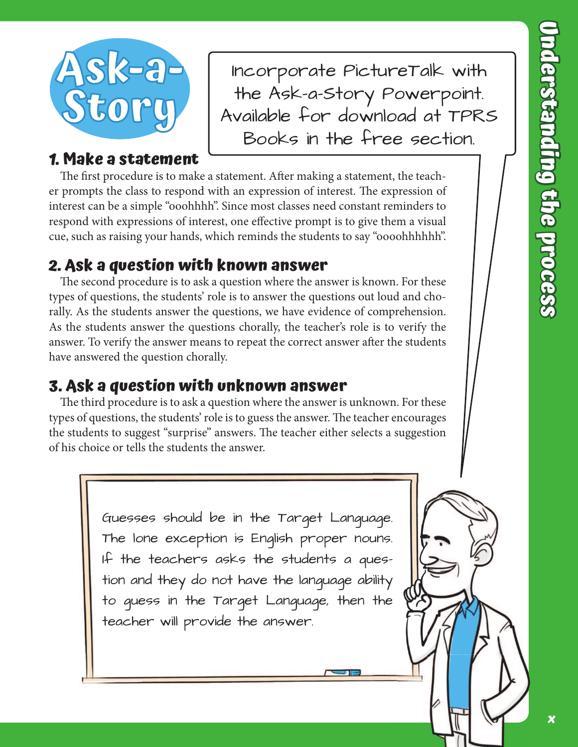

Incorporate PictureTalk with the Ask-a-Story Powerpoint. Available for download at TPRS Books in the free section.

## **1. Make a statement**

The first procedure is to make a statement. After making a statement, the teacher prompts the class to respond with an expression of interest. The expression of interest can be a simple "ooohhhh". Since most classes need constant reminders to respond with expressions of interest, one effective prompt is to give them a visual cue, such as raising your hands, which reminds the students to say "oooohhhhhh".

## **2. Ask a question with known answer**

The second procedure is to ask a question where the answer is known. For these types of questions, the students' role is to answer the questions out loud and chorally. As the students answer the questions, we have evidence of comprehension. As the students answer the questions chorally, the teacher's role is to verify the answer. To verify the answer means to repeat the correct answer after the students have answered the question chorally.

# **3. Ask a question with unknown answer**

The third procedure is to ask a question where the answer is unknown. For these types of questions, the students' role is to guess the answer. The teacher encourages the students to suggest "surprise" answers. The teacher either selects a suggestion of his choice or tells the students the answer.

> Guesses should be in the Target Language. The lone exception is English proper nouns. If the teachers asks the students a question and they do not have the language ability to guess in the Target Language, then the teacher will provide the answer.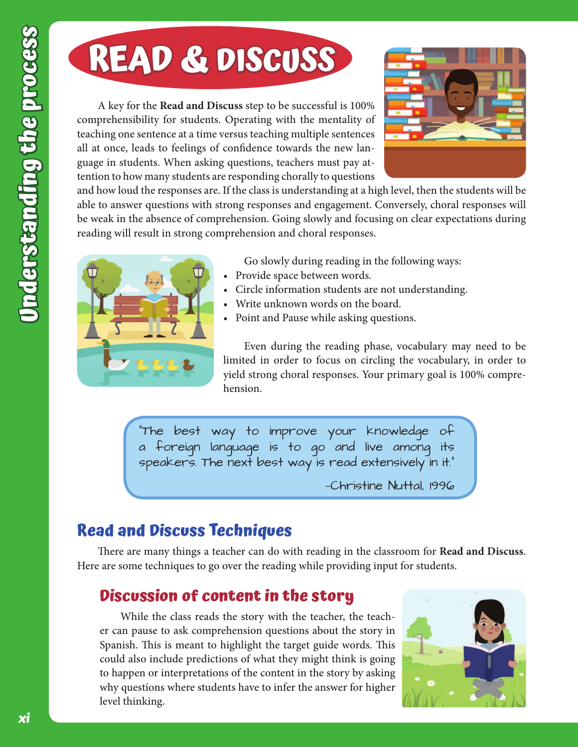# **READ & DISCUSS**

A key for the **Read and Discuss** step to be successful is 100% comprehensibility for students. Operating with the mentality of teaching one sentence at a time versus teaching multiple sentences all at once, leads to feelings of confidence towards the new language in students. When asking questions, teachers must pay attention to how many students are responding chorally to questions



and how loud the responses are. If the class is understanding at a high level, then the students will be able to answer questions with strong responses and engagement. Conversely, choral responses will be weak in the absence of comprehension. Going slowly and focusing on clear expectations during reading will result in strong comprehension and choral responses.



Go slowly during reading in the following ways:

- Provide space between words.
- Circle information students are not understanding.
- Write unknown words on the board.
- Point and Pause while asking questions.

Even during the reading phase, vocabulary may need to be limited in order to focus on circling the vocabulary, in order to yield strong choral responses. Your primary goal is 100% comprehension.

"The best way to improve your knowledge of a foreign language is to go and live among its speakers. The next best way is read extensively in it."

—Christine Nuttal, 1996

### **Read and Discuss Techniques**

There are many things a teacher can do with reading in the classroom for **Read and Discuss.** Here are some techniques to go over the reading while providing input for students.

### **Discussion of content in the story**

While the class reads the story with the teacher, the teacher can pause to ask comprehension questions about the story in Spanish. This is meant to highlight the target guide words. This could also include predictions of what they might think is going to happen or interpretations of the content in the story by asking why questions where students have to infer the answer for higher level thinking.